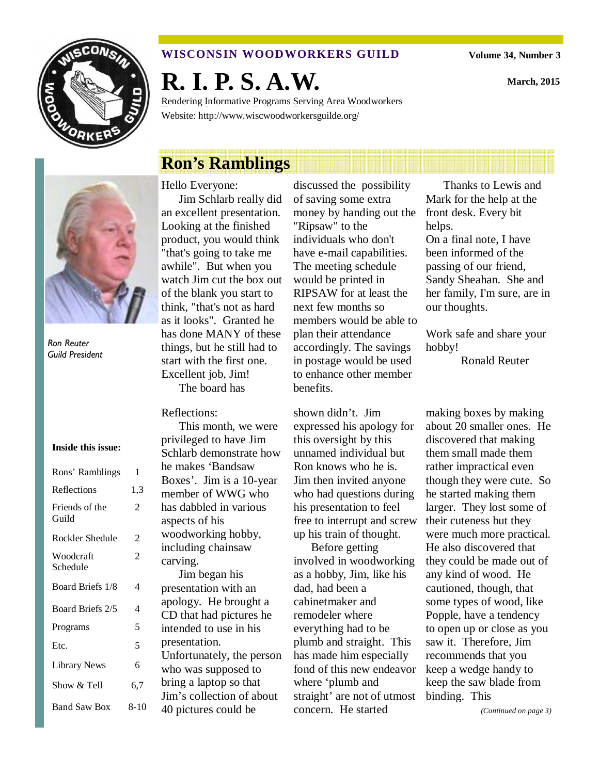

#### **WISCONSIN WOODWORKERS GUILD**

**Volume 34, Number 3** 

**March, 2015** 

**R. I. P. S. A.W.** 

Rendering Informative Programs Serving Area Woodworkers Website: http://www.wiscwoodworkersguilde.org/

# **Ron's Ramblings**



Ron Reuter Guild President

#### **Inside this issue:**

| Rons' Ramblings         | 1    |
|-------------------------|------|
| Reflections             | 1,3  |
| Friends of the<br>Guild | 2    |
| Rockler Shedule         | 2    |
| Woodcraft<br>Schedule   | 2    |
| Board Briefs 1/8        | 4    |
| Board Briefs 2/5        | 4    |
| Programs                | 5    |
| Etc.                    | 5    |
| <b>Library News</b>     | 6    |
| Show & Tell             | 6.7  |
| <b>Band Saw Box</b>     | 8-10 |

#### Hello Everyone:

Jim Schlarb really did an excellent presentation. Looking at the finished product, you would think "that's going to take me awhile". But when you watch Jim cut the box out of the blank you start to think, "that's not as hard as it looks". Granted he has done MANY of these things, but he still had to start with the first one. Excellent job, Jim! The board has

#### Reflections:

This month, we were privileged to have Jim Schlarb demonstrate how he makes 'Bandsaw Boxes'. Jim is a 10-year member of WWG who has dabbled in various aspects of his woodworking hobby, including chainsaw carving.

Jim began his presentation with an apology. He brought a CD that had pictures he intended to use in his presentation. Unfortunately, the person who was supposed to bring a laptop so that Jim's collection of about 40 pictures could be

discussed the possibility of saving some extra money by handing out the "Ripsaw" to the individuals who don't have e-mail capabilities. The meeting schedule would be printed in RIPSAW for at least the next few months so members would be able to plan their attendance accordingly. The savings in postage would be used to enhance other member benefits.

shown didn't. Jim expressed his apology for this oversight by this unnamed individual but Ron knows who he is. Jim then invited anyone who had questions during his presentation to feel free to interrupt and screw up his train of thought.

Before getting involved in woodworking as a hobby, Jim, like his dad, had been a cabinetmaker and remodeler where everything had to be plumb and straight. This has made him especially fond of this new endeavor where 'plumb and straight' are not of utmost concern. He started

Thanks to Lewis and Mark for the help at the front desk. Every bit helps. On a final note, I have been informed of the passing of our friend, Sandy Sheahan. She and her family, I'm sure, are in our thoughts.

Work safe and share your hobby!

Ronald Reuter

making boxes by making about 20 smaller ones. He discovered that making them small made them rather impractical even though they were cute. So he started making them larger. They lost some of their cuteness but they were much more practical. He also discovered that they could be made out of any kind of wood. He cautioned, though, that some types of wood, like Popple, have a tendency to open up or close as you saw it. Therefore, Jim recommends that you keep a wedge handy to keep the saw blade from binding. This

*(Continued on page 3)*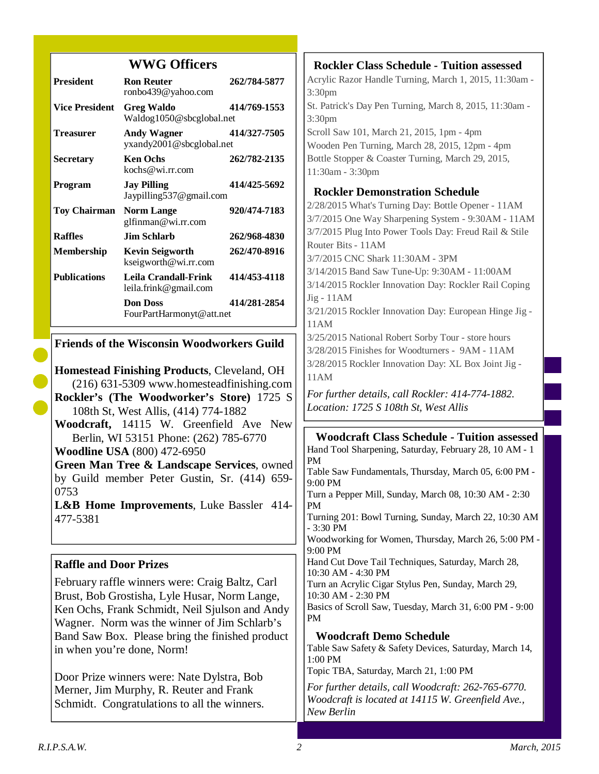# **WWG Officers**

| <b>President</b>      | <b>Ron Reuter</b><br>ronbo439@yahoo.com        | 262/784-5877 |
|-----------------------|------------------------------------------------|--------------|
| <b>Vice President</b> | Greg Waldo<br>Waldog1050@sbcglobal.net         | 414/769-1553 |
| <b>Treasurer</b>      | <b>Andy Wagner</b><br>yxandy2001@sbcglobal.net | 414/327-7505 |
| <b>Secretary</b>      | <b>Ken Ochs</b><br>kochs@wi.rr.com             | 262/782-2135 |
| Program               | <b>Jay Pilling</b><br>Jaypilling 537@gmail.com | 414/425-5692 |
| <b>Toy Chairman</b>   | <b>Norm Lange</b><br>glfinman@wi.rr.com        | 920/474-7183 |
| <b>Raffles</b>        | Jim Schlarb                                    | 262/968-4830 |
| <b>Membership</b>     | Kevin Seigworth<br>kseigworth@wi.rr.com        | 262/470-8916 |
| <b>Publications</b>   | Leila Crandall-Frink<br>leila.frink@gmail.com  | 414/453-4118 |
|                       | <b>Don Doss</b><br>FourPartHarmonyt@att.net    | 414/281-2854 |

### **Friends of the Wisconsin Woodworkers Guild**

**Homestead Finishing Products**, Cleveland, OH (216) 631-5309 www.homesteadfinishing.com **Rockler's (The Woodworker's Store)** 1725 S 108th St, West Allis, (414) 774-1882 **Woodcraft,** 14115 W. Greenfield Ave New Berlin, WI 53151 Phone: (262) 785-6770 **Woodline USA** (800) 472-6950 **Green Man Tree & Landscape Services**, owned by Guild member Peter Gustin, Sr. (414) 659-

**L&B Home Improvements**, Luke Bassler 414- 477-5381

# **Raffle and Door Prizes**

February raffle winners were: Craig Baltz, Carl Brust, Bob Grostisha, Lyle Husar, Norm Lange, Ken Ochs, Frank Schmidt, Neil Sjulson and Andy Wagner. Norm was the winner of Jim Schlarb's Band Saw Box. Please bring the finished product in when you're done, Norm!

Door Prize winners were: Nate Dylstra, Bob Merner, Jim Murphy, R. Reuter and Frank Schmidt. Congratulations to all the winners.

**Rockler Class Schedule - Tuition assessed** Acrylic Razor Handle Turning, March 1, 2015, 11:30am - 3:30pm St. Patrick's Day Pen Turning, March 8, 2015, 11:30am - 3:30pm Scroll Saw 101, March 21, 2015, 1pm - 4pm Wooden Pen Turning, March 28, 2015, 12pm - 4pm Bottle Stopper & Coaster Turning, March 29, 2015, 11:30am - 3:30pm **Rockler Demonstration Schedule**  2/28/2015 What's Turning Day: Bottle Opener - 11AM 3/7/2015 One Way Sharpening System - 9:30AM - 11AM 3/7/2015 Plug Into Power Tools Day: Freud Rail & Stile Router Bits - 11AM 3/7/2015 CNC Shark 11:30AM - 3PM 3/14/2015 Band Saw Tune-Up: 9:30AM - 11:00AM 3/14/2015 Rockler Innovation Day: Rockler Rail Coping Jig - 11AM 3/21/2015 Rockler Innovation Day: European Hinge Jig - 11AM 3/25/2015 National Robert Sorby Tour - store hours 3/28/2015 Finishes for Woodturners - 9AM - 11AM 3/28/2015 Rockler Innovation Day: XL Box Joint Jig - 11AM *For further details, call Rockler: 414-774-1882. Location: 1725 S 108th St, West Allis*  **Woodcraft Class Schedule - Tuition assessed** Hand Tool Sharpening, Saturday, February 28, 10 AM - 1 PM Table Saw Fundamentals, Thursday, March 05, 6:00 PM - 9:00 PM Turn a Pepper Mill, Sunday, March 08, 10:30 AM - 2:30 PM Turning 201: Bowl Turning, Sunday, March 22, 10:30 AM - 3:30 PM Woodworking for Women, Thursday, March 26, 5:00 PM - 9:00 PM Hand Cut Dove Tail Techniques, Saturday, March 28, 10:30 AM - 4:30 PM Turn an Acrylic Cigar Stylus Pen, Sunday, March 29, 10:30 AM - 2:30 PM Basics of Scroll Saw, Tuesday, March 31, 6:00 PM - 9:00 PM **Woodcraft Demo Schedule** Table Saw Safety & Safety Devices, Saturday, March 14,

1:00 PM Topic TBA, Saturday, March 21, 1:00 PM

*For further details, call Woodcraft: 262-765-6770. Woodcraft is located at 14115 W. Greenfield Ave., New Berlin* 

0753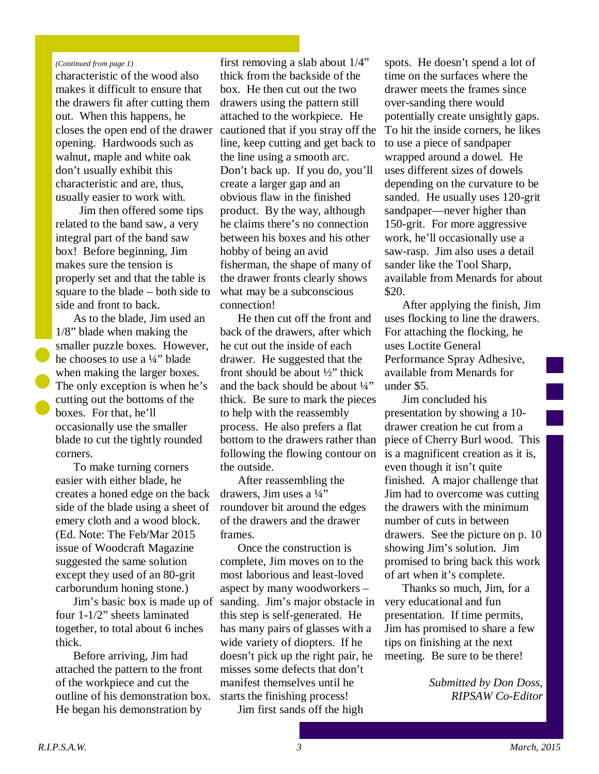#### *(Continued from page 1)*

characteristic of the wood also makes it difficult to ensure that the drawers fit after cutting them out. When this happens, he closes the open end of the drawer opening. Hardwoods such as walnut, maple and white oak don't usually exhibit this characteristic and are, thus, usually easier to work with.

 Jim then offered some tips related to the band saw, a very integral part of the band saw box! Before beginning, Jim makes sure the tension is properly set and that the table is square to the blade – both side to side and front to back.

As to the blade, Jim used an 1/8" blade when making the smaller puzzle boxes. However, he chooses to use a ¼" blade when making the larger boxes. The only exception is when he's cutting out the bottoms of the boxes. For that, he'll occasionally use the smaller blade to cut the tightly rounded corners.

To make turning corners easier with either blade, he creates a honed edge on the back side of the blade using a sheet of emery cloth and a wood block. (Ed. Note: The Feb/Mar 2015 issue of Woodcraft Magazine suggested the same solution except they used of an 80-grit carborundum honing stone.)

four 1-1/2" sheets laminated together, to total about 6 inches thick.

Before arriving, Jim had attached the pattern to the front of the workpiece and cut the outline of his demonstration box. He began his demonstration by

first removing a slab about 1/4" thick from the backside of the box. He then cut out the two drawers using the pattern still attached to the workpiece. He cautioned that if you stray off the line, keep cutting and get back to the line using a smooth arc. Don't back up. If you do, you'll create a larger gap and an obvious flaw in the finished product. By the way, although he claims there's no connection between his boxes and his other hobby of being an avid fisherman, the shape of many of the drawer fronts clearly shows what may be a subconscious connection!

He then cut off the front and back of the drawers, after which he cut out the inside of each drawer. He suggested that the front should be about ½" thick and the back should be about ¼" thick. Be sure to mark the pieces to help with the reassembly process. He also prefers a flat bottom to the drawers rather than following the flowing contour on the outside.

After reassembling the drawers, Jim uses a  $\frac{1}{4}$ " roundover bit around the edges of the drawers and the drawer frames.

Jim's basic box is made up of sanding. Jim's major obstacle in Once the construction is complete, Jim moves on to the most laborious and least-loved aspect by many woodworkers – this step is self-generated. He has many pairs of glasses with a wide variety of diopters. If he doesn't pick up the right pair, he misses some defects that don't manifest themselves until he starts the finishing process!

Jim first sands off the high

spots. He doesn't spend a lot of time on the surfaces where the drawer meets the frames since over-sanding there would potentially create unsightly gaps. To hit the inside corners, he likes to use a piece of sandpaper wrapped around a dowel. He uses different sizes of dowels depending on the curvature to be sanded. He usually uses 120-grit sandpaper—never higher than 150-grit. For more aggressive work, he'll occasionally use a saw-rasp. Jim also uses a detail sander like the Tool Sharp, available from Menards for about \$20.

After applying the finish, Jim uses flocking to line the drawers. For attaching the flocking, he uses Loctite General Performance Spray Adhesive, available from Menards for under \$5.

Jim concluded his presentation by showing a 10 drawer creation he cut from a piece of Cherry Burl wood. This is a magnificent creation as it is, even though it isn't quite finished. A major challenge that Jim had to overcome was cutting the drawers with the minimum number of cuts in between drawers. See the picture on p. 10 showing Jim's solution. Jim promised to bring back this work of art when it's complete.

Thanks so much, Jim, for a very educational and fun presentation. If time permits, Jim has promised to share a few tips on finishing at the next meeting. Be sure to be there!

> *Submitted by Don Doss, RIPSAW Co-Editor*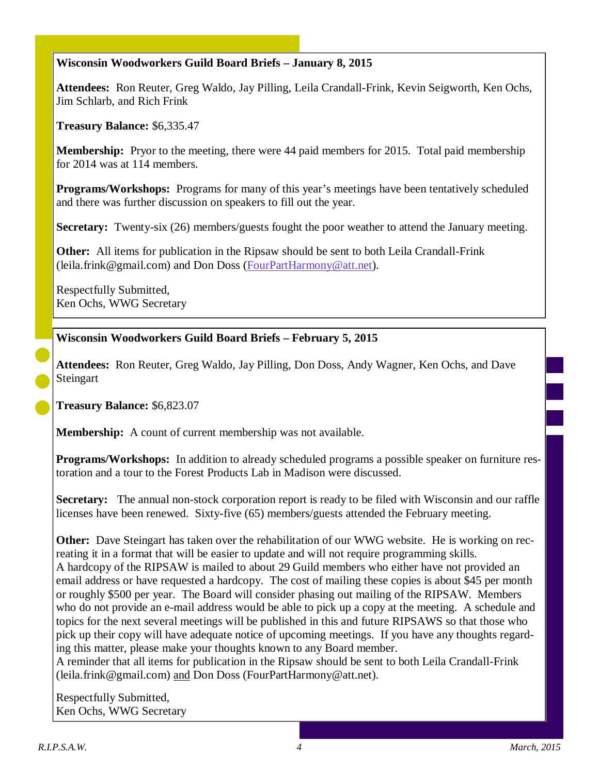### **Wisconsin Woodworkers Guild Board Briefs – January 8, 2015**

**Attendees:** Ron Reuter, Greg Waldo, Jay Pilling, Leila Crandall-Frink, Kevin Seigworth, Ken Ochs, Jim Schlarb, and Rich Frink

**Treasury Balance:** \$6,335.47

**Membership:** Pryor to the meeting, there were 44 paid members for 2015. Total paid membership for 2014 was at 114 members.

**Programs/Workshops:** Programs for many of this year's meetings have been tentatively scheduled and there was further discussion on speakers to fill out the year.

**Secretary:** Twenty-six (26) members/guests fought the poor weather to attend the January meeting.

**Other:** All items for publication in the Ripsaw should be sent to both Leila Crandall-Frink (leila.frink@gmail.com) and Don Doss (FourPartHarmony@att.net).

Respectfully Submitted, Ken Ochs, WWG Secretary

**Wisconsin Woodworkers Guild Board Briefs – February 5, 2015**

**Attendees:** Ron Reuter, Greg Waldo, Jay Pilling, Don Doss, Andy Wagner, Ken Ochs, and Dave **Steingart** 

**Treasury Balance:** \$6,823.07

**Membership:** A count of current membership was not available.

**Programs/Workshops:** In addition to already scheduled programs a possible speaker on furniture restoration and a tour to the Forest Products Lab in Madison were discussed.

**Secretary:** The annual non-stock corporation report is ready to be filed with Wisconsin and our raffle licenses have been renewed. Sixty-five (65) members/guests attended the February meeting.

**Other:** Dave Steingart has taken over the rehabilitation of our WWG website. He is working on recreating it in a format that will be easier to update and will not require programming skills. A hardcopy of the RIPSAW is mailed to about 29 Guild members who either have not provided an email address or have requested a hardcopy. The cost of mailing these copies is about \$45 per month or roughly \$500 per year. The Board will consider phasing out mailing of the RIPSAW. Members who do not provide an e-mail address would be able to pick up a copy at the meeting. A schedule and topics for the next several meetings will be published in this and future RIPSAWS so that those who pick up their copy will have adequate notice of upcoming meetings. If you have any thoughts regarding this matter, please make your thoughts known to any Board member.

A reminder that all items for publication in the Ripsaw should be sent to both Leila Crandall-Frink (leila.frink@gmail.com) and Don Doss (FourPartHarmony@att.net).

Respectfully Submitted, Ken Ochs, WWG Secretary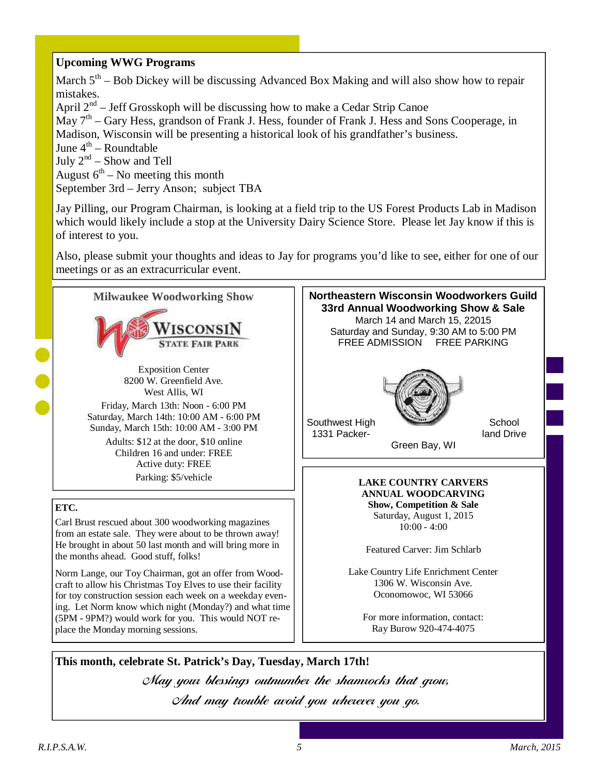# **Upcoming WWG Programs**

March  $5<sup>th</sup>$  – Bob Dickey will be discussing Advanced Box Making and will also show how to repair mistakes. April  $2<sup>nd</sup>$  – Jeff Grosskoph will be discussing how to make a Cedar Strip Canoe May 7<sup>th</sup> – Gary Hess, grandson of Frank J. Hess, founder of Frank J. Hess and Sons Cooperage, in Madison, Wisconsin will be presenting a historical look of his grandfather's business. June  $4^{\text{th}}$  – Roundtable July  $2^{nd}$  – Show and Tell August  $6<sup>th</sup>$  – No meeting this month September 3rd – Jerry Anson; subject TBA

Jay Pilling, our Program Chairman, is looking at a field trip to the US Forest Products Lab in Madison which would likely include a stop at the University Dairy Science Store. Please let Jay know if this is of interest to you.

Also, please submit your thoughts and ideas to Jay for programs you'd like to see, either for one of our meetings or as an extracurricular event.



**This month, celebrate St. Patrick's Day, Tuesday, March 17th!** May your blessings outnumber the shamrocks that grow, And may trouble avoid you wherever you go.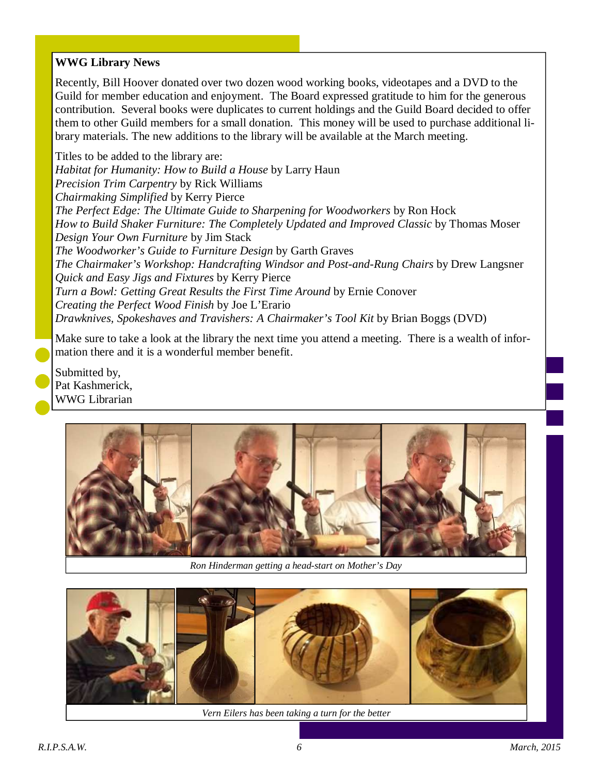# **WWG Library News**

Recently, Bill Hoover donated over two dozen wood working books, videotapes and a DVD to the Guild for member education and enjoyment. The Board expressed gratitude to him for the generous contribution. Several books were duplicates to current holdings and the Guild Board decided to offer them to other Guild members for a small donation. This money will be used to purchase additional library materials. The new additions to the library will be available at the March meeting.

Titles to be added to the library are: *Habitat for Humanity: How to Build a House* by Larry Haun *Precision Trim Carpentry* by Rick Williams *Chairmaking Simplified* by Kerry Pierce *The Perfect Edge: The Ultimate Guide to Sharpening for Woodworkers* by Ron Hock *How to Build Shaker Furniture: The Completely Updated and Improved Classic* by Thomas Moser *Design Your Own Furniture* by Jim Stack *The Woodworker's Guide to Furniture Design* by Garth Graves *The Chairmaker's Workshop: Handcrafting Windsor and Post-and-Rung Chairs* by Drew Langsner *Quick and Easy Jigs and Fixtures* by Kerry Pierce *Turn a Bowl: Getting Great Results the First Time Around* by Ernie Conover *Creating the Perfect Wood Finish* by Joe L'Erario *Drawknives, Spokeshaves and Travishers: A Chairmaker's Tool Kit* by Brian Boggs (DVD)

Make sure to take a look at the library the next time you attend a meeting. There is a wealth of information there and it is a wonderful member benefit.

Submitted by, Pat Kashmerick, WWG Librarian



*Ron Hinderman getting a head-start on Mother's Day* 



*Vern Eilers has been taking a turn for the better*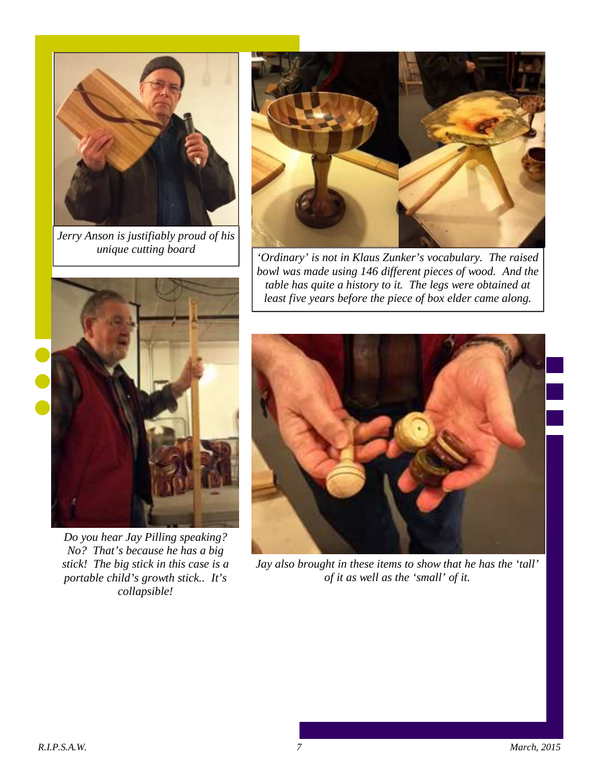

*Jerry Anson is justifiably proud of his unique cutting board* 



*'Ordinary' is not in Klaus Zunker's vocabulary. The raised bowl was made using 146 different pieces of wood. And the table has quite a history to it. The legs were obtained at least five years before the piece of box elder came along.* 



*Do you hear Jay Pilling speaking? No? That's because he has a big stick! The big stick in this case is a portable child's growth stick.. It's collapsible!* 



*Jay also brought in these items to show that he has the 'tall' of it as well as the 'small' of it.*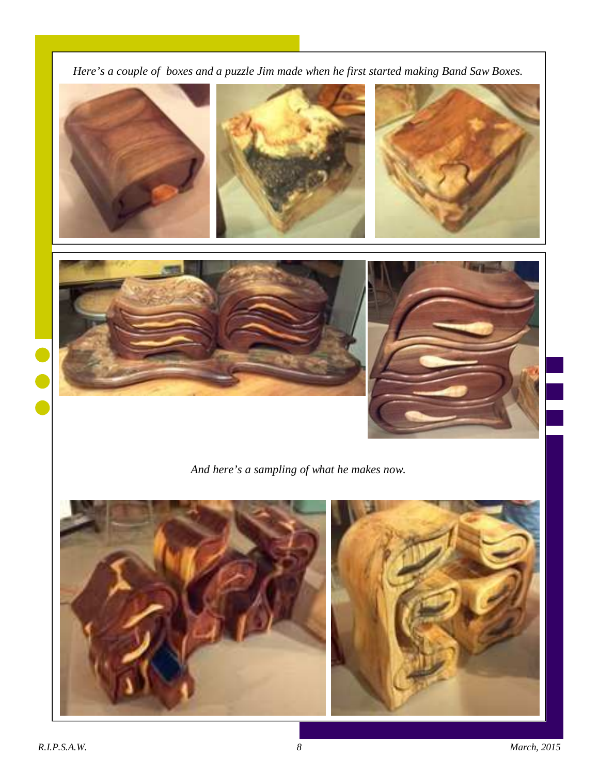*Here's a couple of boxes and a puzzle Jim made when he first started making Band Saw Boxes.* 



*And here's a sampling of what he makes now.* 



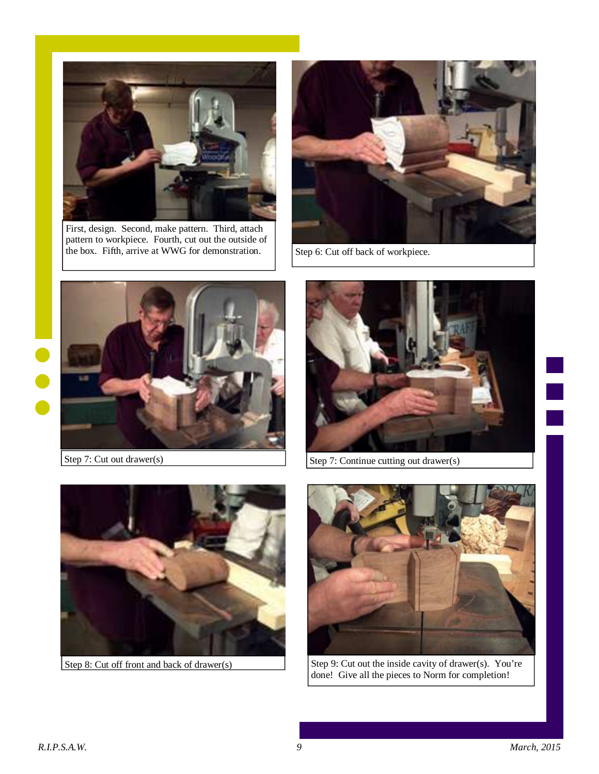

First, design. Second, make pattern. Third, attach pattern to workpiece. Fourth, cut out the outside of the box. Fifth, arrive at WWG for demonstration.  $\Big|$  Step 6: Cut off back of workpiece.





Step 7: Cut out drawer(s)



Step 7: Continue cutting out drawer(s)





Step 8: Cut off front and back of drawer(s) Step 9: Cut out the inside cavity of drawer(s). You're done! Give all the pieces to Norm for completion!